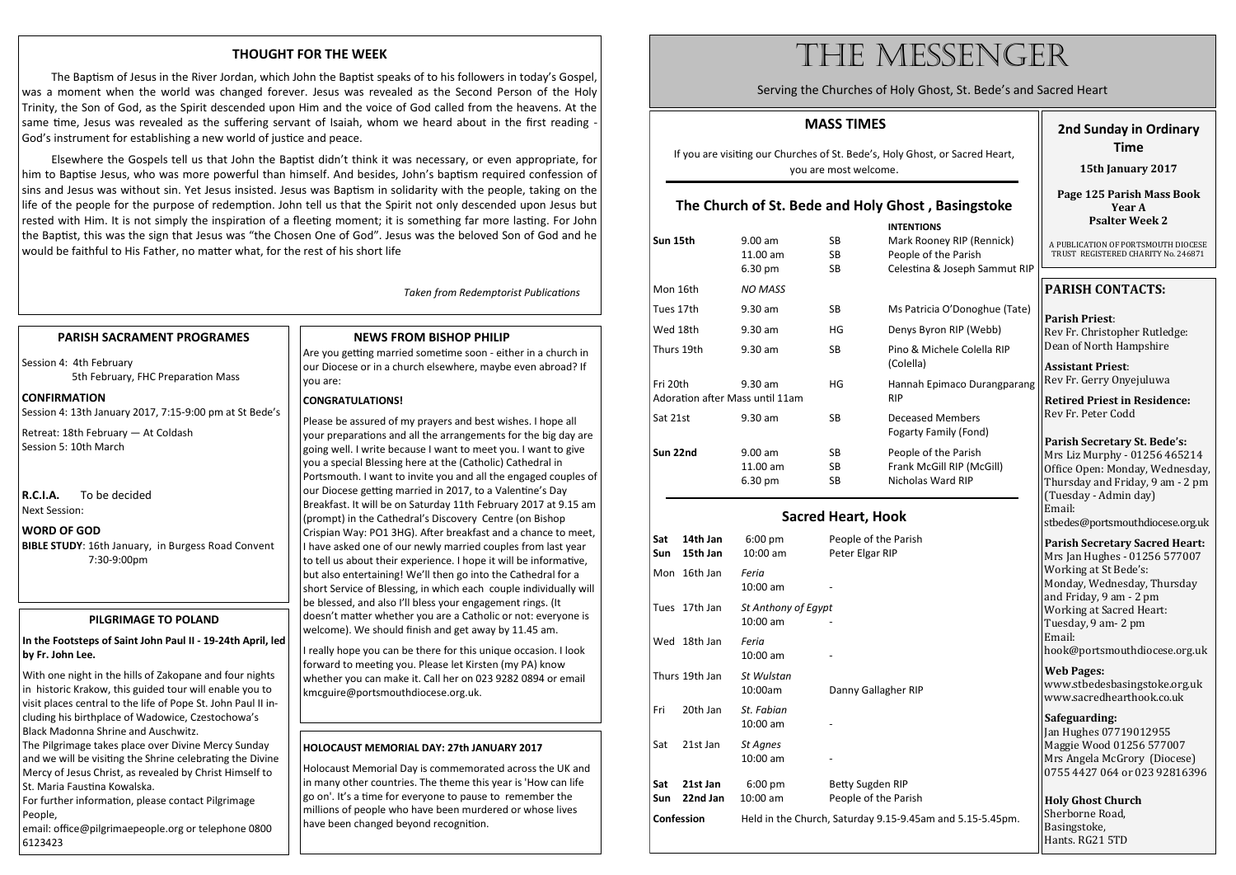#### **MASS TIMES**

If you are visiting our Churches of St. Bede's, Holy Ghost, or Sacred Heart, you are most welcome.

### **The Church of St. Bede and Holy Ghost , Basingstoke**

|                                             |                                    |                        | <b>INTENTIONS</b>                        |
|---------------------------------------------|------------------------------------|------------------------|------------------------------------------|
| Sun 15th                                    | $9.00$ am<br>11.00 am              | SB.<br>SB.             | Mark Roon<br>People of tl                |
|                                             | 6.30 pm                            | <b>SB</b>              | Celestina &                              |
| Mon 16th                                    | <b>NO MASS</b>                     |                        |                                          |
| Tues 17th                                   | $9.30$ am                          | SB.                    | Ms Patricia                              |
| Wed 18th                                    | $9.30$ am                          | HG                     | Denys Byro                               |
| Thurs 19th                                  | $9.30$ am                          | SB.                    | Pino & Micl<br>(Colella)                 |
| Fri 20th<br>Adoration after Mass until 11am | $9.30$ am                          | HG                     | Hannah Epi<br><b>RIP</b>                 |
| Sat 21st                                    | $9.30$ am                          | SB                     | Deceased N<br>Fogarty Far                |
| Sun 22nd                                    | $9.00$ am<br>$11.00$ am<br>6.30 pm | SB.<br><b>SB</b><br>SB | People of tl<br>Frank McGi<br>Nicholas W |
|                                             |                                    |                        |                                          |

#### **Sacred Heart, Hook**

| Sat<br>Sun        | 14th Jan<br>15th Jan | 6:00 pm<br>$10:00$ am           | People of the Parish<br>Peter Elgar RIP  |
|-------------------|----------------------|---------------------------------|------------------------------------------|
|                   | Mon 16th Jan         | Feria<br>10:00 am               |                                          |
|                   | Tues 17th Jan        | St Anthony of Egypt<br>10:00 am |                                          |
| Wed               | 18th Jan             | Feria<br>$10:00$ am             |                                          |
|                   | Thurs 19th Jan       | St Wulstan<br>10:00am           | Danny Gallagher RIP                      |
| Fri               | 20th Jan             | St. Fabian<br>$10:00$ am        |                                          |
| Sat               | 21st Jan             | St Agnes<br>10:00 am            |                                          |
| Sat<br>Sun        | 21st Jan<br>22nd Jan | 6:00 pm<br>$10:00$ am           | Betty Sugden RIP<br>People of the Parish |
| <b>Confession</b> |                      |                                 | Held in the Church, Saturday 9.15-9.45ar |

**Sundey RIP (Rennick)** of the Parish 8. Joseph Sammut RIP

cia O'Donoghue (Tate)

ron RIP (Webb)

Aichele Colella RIP

Epimaco Durangparang

d Members Family (Fond)

**Subset 1.00 Section** 1.00 cGill RIP (McGill) Ward RIP

m and 5.15-5.45pm.

#### **THOUGHT FOR THE WEEK**

The Baptism of Jesus in the River Jordan, which John the Baptist speaks of to his followers in today's Gospel, was a moment when the world was changed forever. Jesus was revealed as the Second Person of the Holy Trinity, the Son of God, as the Spirit descended upon Him and the voice of God called from the heavens. At the same time, Jesus was revealed as the suffering servant of Isaiah, whom we heard about in the first reading God's instrument for establishing a new world of justice and peace.

Elsewhere the Gospels tell us that John the Baptist didn't think it was necessary, or even appropriate, for him to Baptise Jesus, who was more powerful than himself. And besides, John's baptism required confession of sins and Jesus was without sin. Yet Jesus insisted. Jesus was Baptism in solidarity with the people, taking on the life of the people for the purpose of redemption. John tell us that the Spirit not only descended upon Jesus but rested with Him. It is not simply the inspiration of a fleeting moment; it is something far more lasting. For John the Baptist, this was the sign that Jesus was "the Chosen One of God". Jesus was the beloved Son of God and he would be faithful to His Father, no matter what, for the rest of his short life

*Taken from Redemptorist Publications* 

#### **PARISH SACRAMENT PROGRAMES**

Session 4: 4th February 5th February, FHC Preparation Mass

#### **CONFIRMATION**

Session 4: 13th January 2017, 7:15-9:00 pm at St Bede's

Retreat: 18th February — At Coldash Session 5: 10th March

#### **R.C.I.A.** To be decided Next Session:

**WORD OF GOD**

**BIBLE STUDY**: 16th January, in Burgess Road Convent 7:30-9:00pm

# THE MESSENGER

Serving the Churches of Holy Ghost, St. Bede's and Sacred Heart

#### **2nd Sunday in Ordinary Time**

#### **15th January 2017**

**Page 125 Parish Mass Book Year A Psalter Week 2**

A PUBLICATION OF PORTSMOUTH DIOCESE TRUST REGISTERED CHARITY No. 246871

#### **NEWS FROM BISHOP PHILIP**

Are you getting married sometime soon - either in a church in our Diocese or in a church elsewhere, maybe even abroad? If you are:

#### **CONGRATULATIONS!**

Please be assured of my prayers and best wishes. I hope all  $\sqrt{ }$  vour preparations and all the arrangements for the big day are going well. I write because I want to meet you. I want to give you a special Blessing here at the (Catholic) Cathedral in Portsmouth. I want to invite you and all the engaged couples of our Diocese getting married in 2017, to a Valentine's Day Breakfast. It will be on Saturday 11th February 2017 at 9.15 am (prompt) in the Cathedral's Discovery Centre (on Bishop Crispian Way: PO1 3HG). After breakfast and a chance to meet, I have asked one of our newly married couples from last year to tell us about their experience. I hope it will be informative, but also entertaining! We'll then go into the Cathedral for a  $\vert$  short Service of Blessing, in which each couple individually will be blessed, and also I'll bless your engagement rings. (It doesn't matter whether you are a Catholic or not: everyone is welcome). We should finish and get away by 11.45 am.

I really hope you can be there for this unique occasion. I look forward to meeting you. Please let Kirsten (my PA) know whether you can make it. Call her on 023 9282 0894 or email kmcguire@portsmouthdiocese.org.uk.

### **PARISH CONTACTS:**

**Parish Priest**: Rev Fr. Christopher Rutledge: Dean of North Hampshire

**Assistant Priest**: Rev Fr. Gerry Onyejuluwa

**Retired Priest in Residence:**  Rev Fr. Peter Codd

**Parish Secretary St. Bede's:** Mrs Liz Murphy - 01256 465214 Office Open: Monday, Wednesday, Thursday and Friday, 9 am - 2 pm (Tuesday - Admin day) Email: [stbedes@portsmouthdiocese.org.uk](mailto:stbedes@portsmouthdiocese.org.uk)

**Parish Secretary Sacred Heart:** Mrs Jan Hughes - 01256 577007 Working at St Bede's: Monday, Wednesday, Thursday and Friday, 9 am - 2 pm Working at Sacred Heart: Tuesday, 9 am- 2 pm Email: hook@portsmouthdiocese.org.uk

**Web Pages:** [www.stbedesbasingstoke.org.uk](http://www.stbedesbasingstoke.org.uk) www.sacredhearthook.co.uk

**Safeguarding:**  Jan Hughes 07719012955 Maggie Wood 01256 577007 Mrs Angela McGrory (Diocese) 0755 4427 064 or 023 92816396

**Holy Ghost Church** Sherborne Road, Basingstoke, Hants. RG21 5TD

#### **PILGRIMAGE TO POLAND**

**In the Footsteps of Saint John Paul II - 19-24th April, led by Fr. John Lee.**

With one night in the hills of Zakopane and four nights in historic Krakow, this guided tour will enable you to visit places central to the life of Pope St. John Paul II including his birthplace of Wadowice, Czestochowa's Black Madonna Shrine and Auschwitz.

The Pilgrimage takes place over Divine Mercy Sunday and we will be visiting the Shrine celebrating the Divine Mercy of Jesus Christ, as revealed by Christ Himself to St. Maria Faustina Kowalska.

For further information, please contact Pilgrimage People,

email: office@pilgrimaepeople.org or telephone 0800 6123423

#### **HOLOCAUST MEMORIAL DAY: 27th JANUARY 2017**

Holocaust Memorial Day is commemorated across the UK and in many other countries. The theme this year is 'How can life  $\vert$  go on'. It's a time for everyone to pause to remember the millions of people who have been murdered or whose lives have been changed beyond recognition.